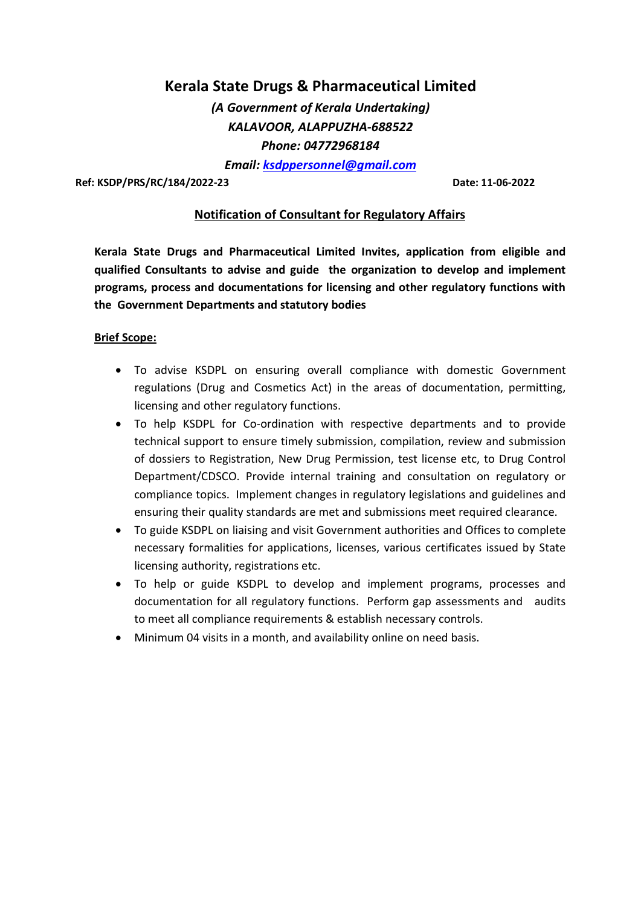# Kerala State Drugs & Pharmaceutical Limited

(A Government of Kerala Undertaking) KALAVOOR, ALAPPUZHA-688522 Phone: 04772968184

Email: ksdppersonnel@gmail.com

Ref: KSDP/PRS/RC/184/2022-23 Date: 11-06-2022

## Notification of Consultant for Regulatory Affairs

Kerala State Drugs and Pharmaceutical Limited Invites, application from eligible and qualified Consultants to advise and guide the organization to develop and implement programs, process and documentations for licensing and other regulatory functions with the Government Departments and statutory bodies

#### Brief Scope:

- To advise KSDPL on ensuring overall compliance with domestic Government regulations (Drug and Cosmetics Act) in the areas of documentation, permitting, licensing and other regulatory functions.
- To help KSDPL for Co-ordination with respective departments and to provide technical support to ensure timely submission, compilation, review and submission of dossiers to Registration, New Drug Permission, test license etc, to Drug Control Department/CDSCO. Provide internal training and consultation on regulatory or compliance topics. Implement changes in regulatory legislations and guidelines and ensuring their quality standards are met and submissions meet required clearance.
- To guide KSDPL on liaising and visit Government authorities and Offices to complete necessary formalities for applications, licenses, various certificates issued by State licensing authority, registrations etc.
- To help or guide KSDPL to develop and implement programs, processes and documentation for all regulatory functions. Perform gap assessments and audits to meet all compliance requirements & establish necessary controls.
- Minimum 04 visits in a month, and availability online on need basis.